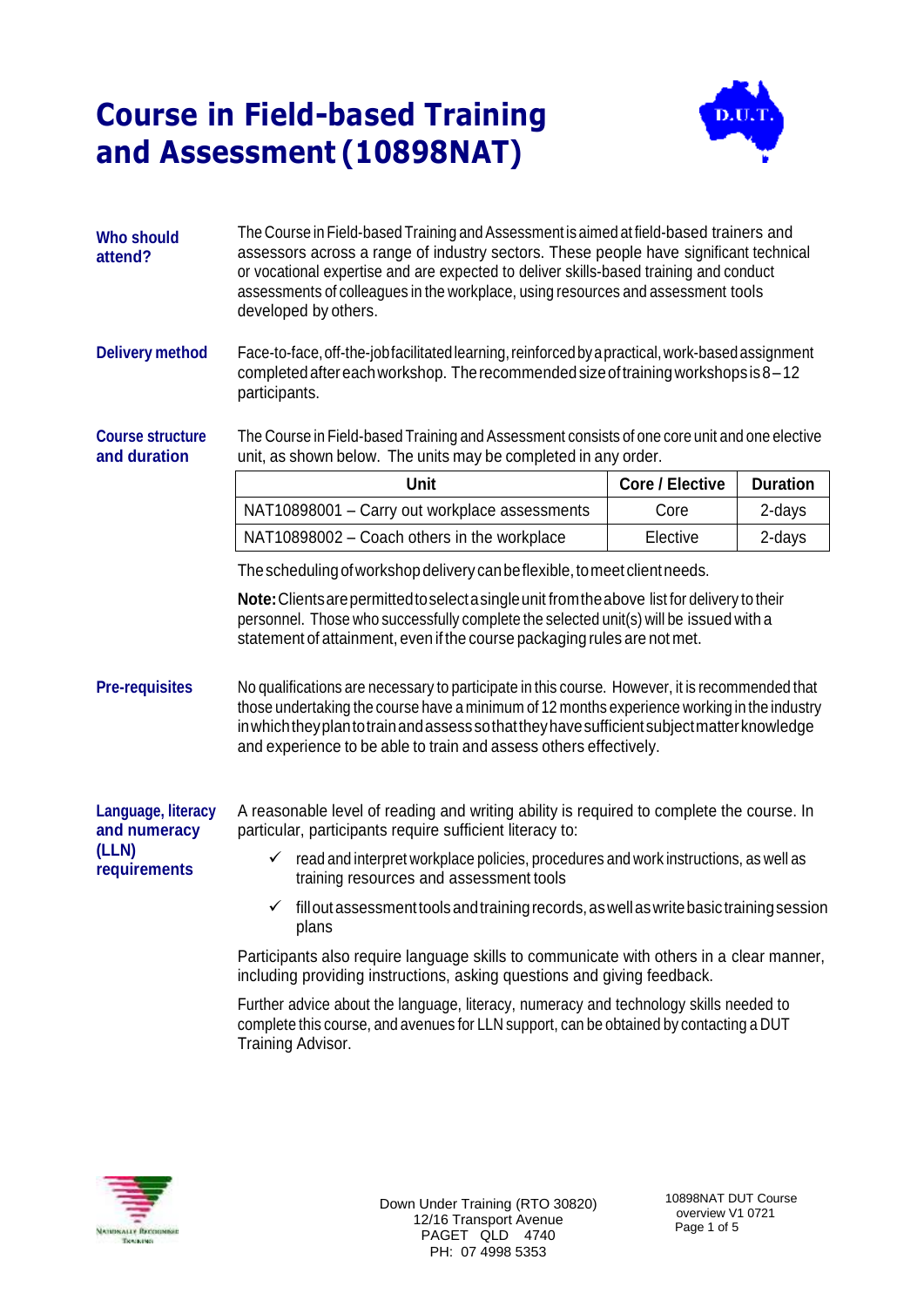

| <b>Who should</b><br>attend?            | The Course in Field-based Training and Assessment is aimed at field-based trainers and<br>assessors across a range of industry sectors. These people have significant technical<br>or vocational expertise and are expected to deliver skills-based training and conduct<br>assessments of colleagues in the workplace, using resources and assessment tools<br>developed by others.                                                                                |                        |                 |  |  |
|-----------------------------------------|---------------------------------------------------------------------------------------------------------------------------------------------------------------------------------------------------------------------------------------------------------------------------------------------------------------------------------------------------------------------------------------------------------------------------------------------------------------------|------------------------|-----------------|--|--|
| <b>Delivery method</b>                  | Face-to-face, off-the-job facilitated learning, reinforced by a practical, work-based assignment<br>completed after each workshop. The recommended size of training workshops is $8-12$<br>participants.                                                                                                                                                                                                                                                            |                        |                 |  |  |
| <b>Course structure</b><br>and duration | The Course in Field-based Training and Assessment consists of one core unit and one elective<br>unit, as shown below. The units may be completed in any order.                                                                                                                                                                                                                                                                                                      |                        |                 |  |  |
|                                         | <b>Unit</b>                                                                                                                                                                                                                                                                                                                                                                                                                                                         | <b>Core / Elective</b> | <b>Duration</b> |  |  |
|                                         | NAT10898001 - Carry out workplace assessments                                                                                                                                                                                                                                                                                                                                                                                                                       | Core                   | 2-days          |  |  |
|                                         | NAT10898002 - Coach others in the workplace                                                                                                                                                                                                                                                                                                                                                                                                                         | Elective               | 2-days          |  |  |
|                                         | The scheduling of workshop delivery can be flexible, to meet client needs.                                                                                                                                                                                                                                                                                                                                                                                          |                        |                 |  |  |
| <b>Pre-requisites</b>                   | Note: Clients are permitted to select a single unit from the above list for delivery to their<br>personnel. Those who successfully complete the selected unit(s) will be issued with a<br>statement of attainment, even if the course packaging rules are not met.<br>No qualifications are necessary to participate in this course. However, it is recommended that<br>those undertaking the course have a minimum of 12 months experience working in the industry |                        |                 |  |  |
|                                         | in which they plan to train and assess so that they have sufficient subject matter knowledge<br>and experience to be able to train and assess others effectively.                                                                                                                                                                                                                                                                                                   |                        |                 |  |  |
| Language, literacy<br>and numeracy      | A reasonable level of reading and writing ability is required to complete the course. In<br>particular, participants require sufficient literacy to:                                                                                                                                                                                                                                                                                                                |                        |                 |  |  |
| (LLN)<br>requirements                   | $\checkmark$ read and interpret workplace policies, procedures and work instructions, as well as<br>training resources and assessment tools                                                                                                                                                                                                                                                                                                                         |                        |                 |  |  |
|                                         | fill out assessment tools and training records, as well as write basic training session<br>✓<br>plans                                                                                                                                                                                                                                                                                                                                                               |                        |                 |  |  |
|                                         | Participants also require language skills to communicate with others in a clear manner,<br>including providing instructions, asking questions and giving feedback.                                                                                                                                                                                                                                                                                                  |                        |                 |  |  |
|                                         | Further advice about the language, literacy, numeracy and technology skills needed to<br>complete this course, and avenues for LLN support, can be obtained by contacting a DUT<br>Training Advisor.                                                                                                                                                                                                                                                                |                        |                 |  |  |

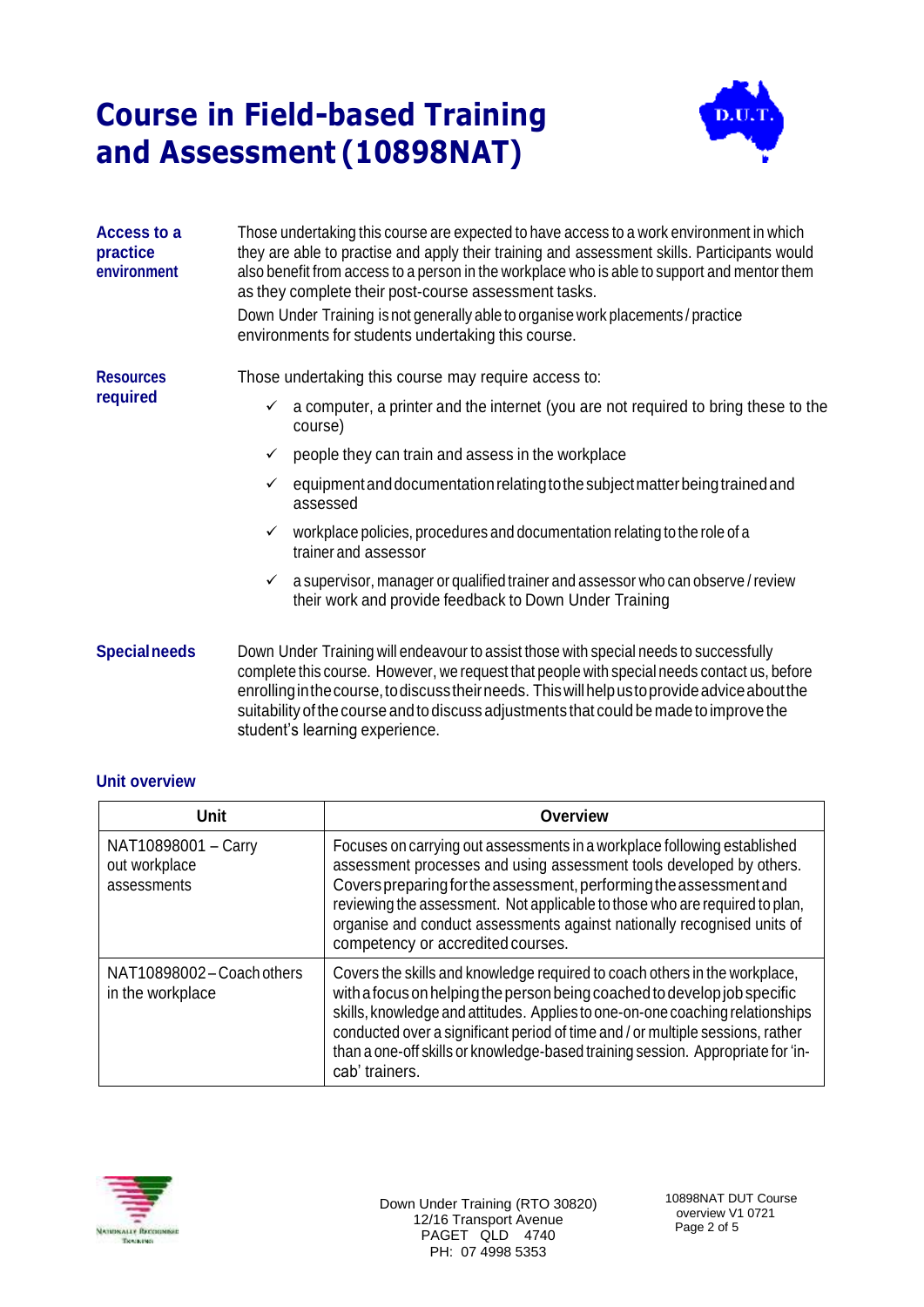

| Access to a<br>practice<br>environment | Those undertaking this course are expected to have access to a work environment in which<br>they are able to practise and apply their training and assessment skills. Participants would<br>also benefit from access to a person in the workplace who is able to support and mentor them<br>as they complete their post-course assessment tasks.<br>Down Under Training is not generally able to organise work placements / practice<br>environments for students undertaking this course. |  |  |
|----------------------------------------|--------------------------------------------------------------------------------------------------------------------------------------------------------------------------------------------------------------------------------------------------------------------------------------------------------------------------------------------------------------------------------------------------------------------------------------------------------------------------------------------|--|--|
| <b>Resources</b><br>required           | Those undertaking this course may require access to:                                                                                                                                                                                                                                                                                                                                                                                                                                       |  |  |
|                                        | a computer, a printer and the internet (you are not required to bring these to the<br>✓<br>course)                                                                                                                                                                                                                                                                                                                                                                                         |  |  |
|                                        | people they can train and assess in the workplace<br>✓                                                                                                                                                                                                                                                                                                                                                                                                                                     |  |  |
|                                        | equipment and documentation relating to the subject matter being trained and<br>assessed                                                                                                                                                                                                                                                                                                                                                                                                   |  |  |
|                                        | workplace policies, procedures and documentation relating to the role of a<br>✓<br>trainer and assessor                                                                                                                                                                                                                                                                                                                                                                                    |  |  |
|                                        | a supervisor, manager or qualified trainer and assessor who can observe/review<br>$\checkmark$<br>their work and provide feedback to Down Under Training                                                                                                                                                                                                                                                                                                                                   |  |  |
| <b>Specialneeds</b>                    | Down Under Training will endeavour to assist those with special needs to successfully<br>complete this course. However, we request that people with special peods contactus, before                                                                                                                                                                                                                                                                                                        |  |  |

complete this course. However, we request that people with special needs contact us, before enrollinginthecourse,todiscusstheirneeds. Thiswillhelpustoprovideadviceaboutthe suitability of the course and to discuss adjustments that could be made toimprove the student's learning experience.

#### **Unit overview**

| Unit                                                | <b>Overview</b>                                                                                                                                                                                                                                                                                                                                                                                                                |  |  |
|-----------------------------------------------------|--------------------------------------------------------------------------------------------------------------------------------------------------------------------------------------------------------------------------------------------------------------------------------------------------------------------------------------------------------------------------------------------------------------------------------|--|--|
| NAT10898001 - Carry<br>out workplace<br>assessments | Focuses on carrying out assessments in a workplace following established<br>assessment processes and using assessment tools developed by others.<br>Covers preparing for the assessment, performing the assessment and<br>reviewing the assessment. Not applicable to those who are required to plan,<br>organise and conduct assessments against nationally recognised units of<br>competency or accredited courses.          |  |  |
| NAT10898002-Coach others<br>in the workplace        | Covers the skills and knowledge required to coach others in the workplace,<br>with a focus on helping the person being coached to develop job specific<br>skills, knowledge and attitudes. Applies to one-on-one coaching relationships<br>conducted over a significant period of time and / or multiple sessions, rather<br>than a one-off skills or knowledge-based training session. Appropriate for 'in-<br>cab' trainers. |  |  |



Down Under Training (RTO 30820) 12/16 Transport Avenue PAGET QLD 4740 PH: 07 4998 5353

10898NAT DUT Course overview V1 0721 Page 2 of 5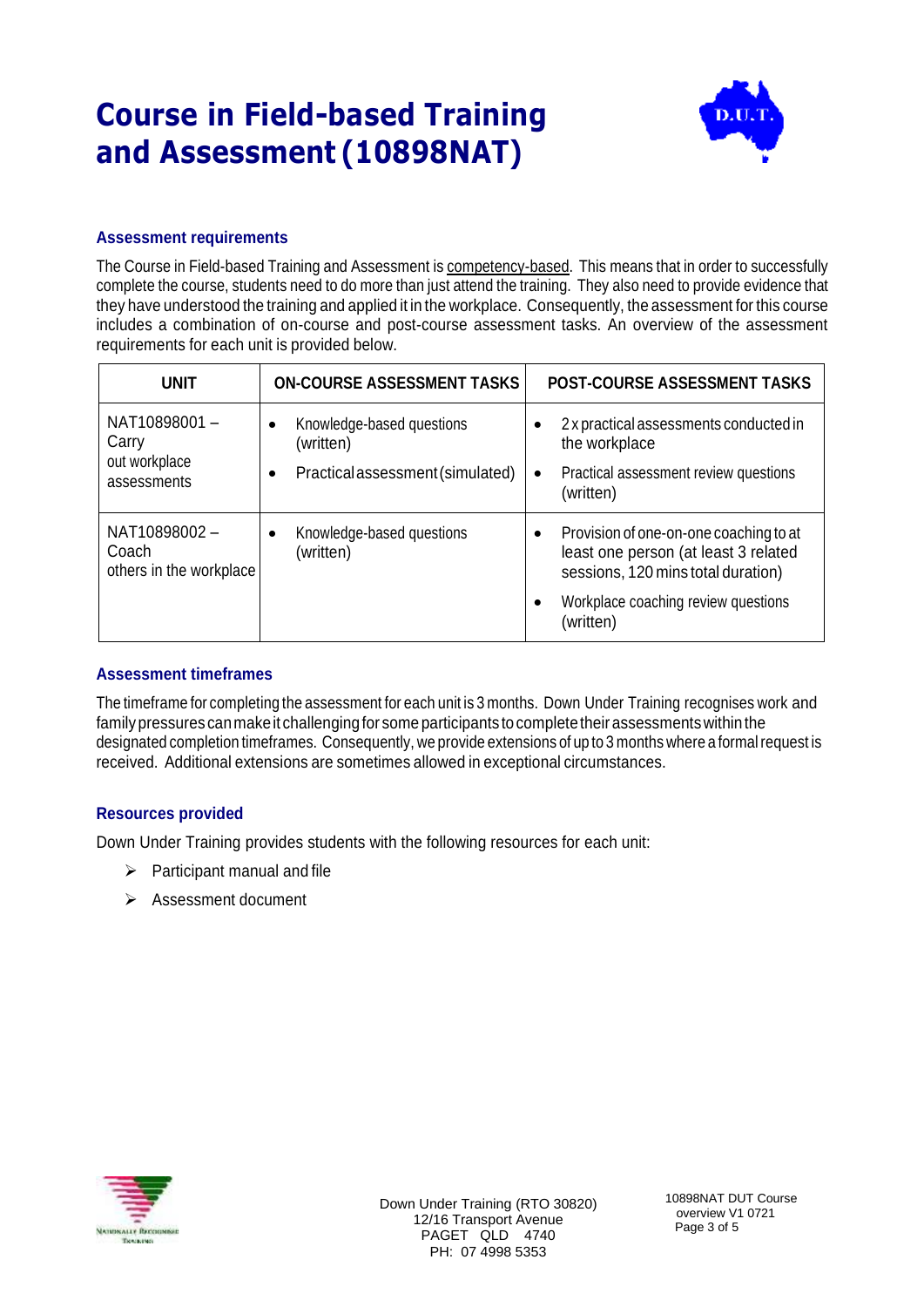

### **Assessment requirements**

The Course in Field-based Training and Assessment is competency-based. This means that in order to successfully complete the course, students need to do more than just attend the training. They also need to provide evidence that they have understood the training and applied it in the workplace. Consequently, the assessment for this course includes a combination of on-course and post-course assessment tasks. An overview of the assessment requirements for each unit is provided below.

| <b>UNIT</b>                                           | <b>ON-COURSE ASSESSMENT TASKS</b>                                                                    | <b>POST-COURSE ASSESSMENT TASKS</b>                                                                                                                                                                |
|-------------------------------------------------------|------------------------------------------------------------------------------------------------------|----------------------------------------------------------------------------------------------------------------------------------------------------------------------------------------------------|
| NAT10898001-<br>Carry<br>out workplace<br>assessments | Knowledge-based questions<br>$\bullet$<br>(written)<br>Practical assessment (simulated)<br>$\bullet$ | 2 x practical assessments conducted in<br>the workplace<br>Practical assessment review questions<br>$\bullet$<br>(written)                                                                         |
| NAT10898002-<br>Coach<br>others in the workplace      | Knowledge-based questions<br>(written)                                                               | Provision of one-on-one coaching to at<br>$\bullet$<br>least one person (at least 3 related<br>sessions, 120 mins total duration)<br>Workplace coaching review questions<br>$\bullet$<br>(written) |

#### **Assessment timeframes**

The timeframe for completing the assessment for each unit is 3 months. Down Under Training recognises work and family pressures can make it challenging for some participants to complete their assessments within the designated completion timeframes. Consequently, we provide extensions of up to 3 months where a formalrequest is received. Additional extensions are sometimes allowed in exceptional circumstances.

#### **Resources provided**

Down Under Training provides students with the following resources for each unit:

- $\triangleright$  Participant manual and file
- ➢ Assessment document



Down Under Training (RTO 30820) 12/16 Transport Avenue PAGET QLD 4740 PH: 07 4998 5353

10898NAT DUT Course overview V1 0721 Page 3 of 5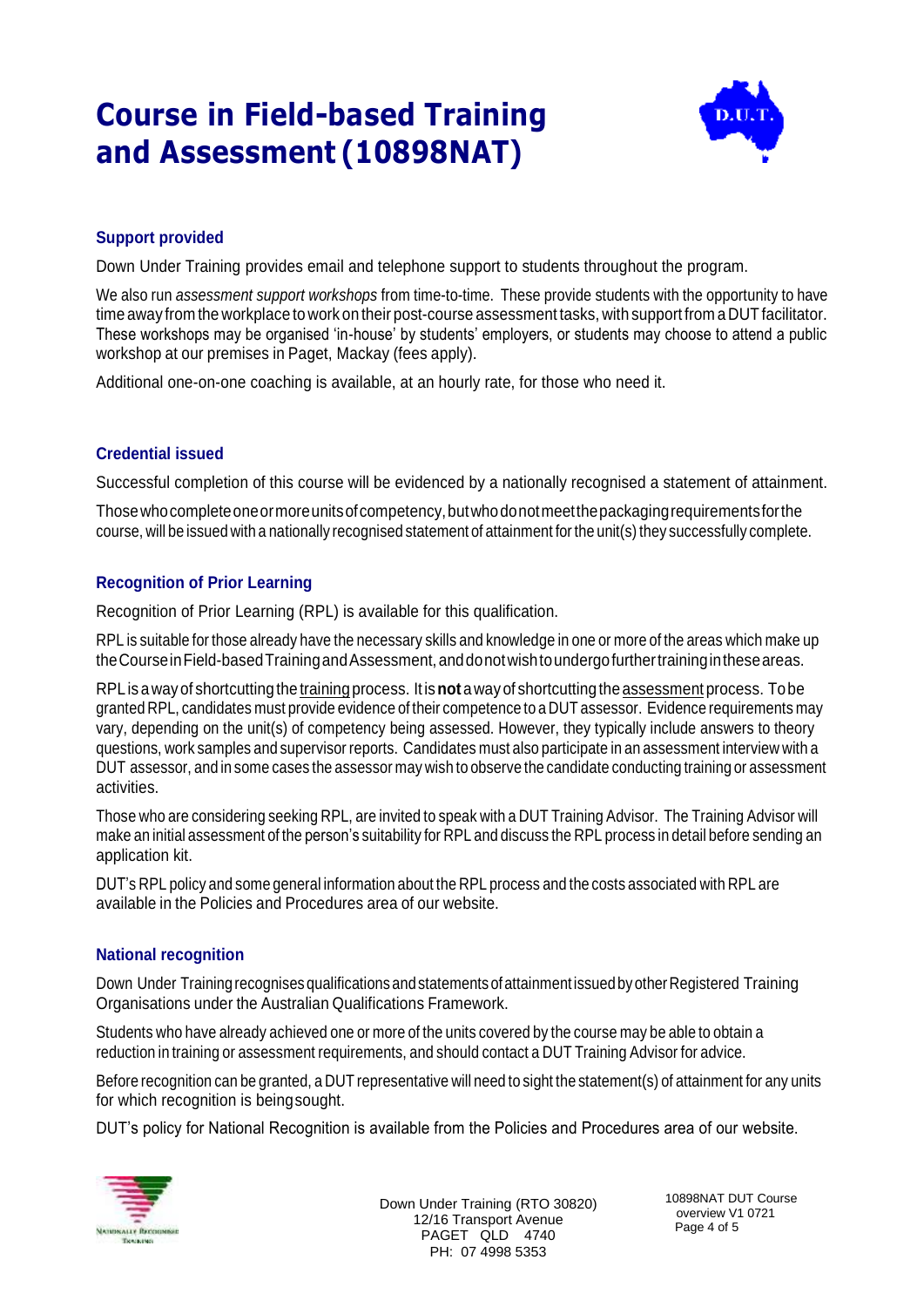

### **Support provided**

Down Under Training provides email and telephone support to students throughout the program.

We also run *assessment support workshops* from time-to-time. These provide students with the opportunity to have time away from the workplace to work on their post-course assessment tasks, with support from a DUT facilitator. These workshops may be organised 'in-house' by students' employers, or students may choose to attend a public workshop at our premises in Paget, Mackay (fees apply).

Additional one-on-one coaching is available, at an hourly rate, for those who need it.

### **Credential issued**

Successful completion of this course will be evidenced by a nationally recognised a statement of attainment.

Thosewhocompleteoneormoreunitsofcompetency,butwhodonotmeetthepackagingrequirementsforthe course, will be issued with a nationally recognised statement of attainment forthe unit(s) they successfully complete.

### **Recognition of Prior Learning**

Recognition of Prior Learning (RPL) is available for this qualification.

RPL is suitable for those already have the necessary skills and knowledge in one or more of the areas which make up the Course in Field-based Training and Assessment, and donot wish to undergofurther training in these areas.

RPL is awayof shortcuttingthe training process. Itis**not** awayof shortcuttingthe assessment process. Tobe granted RPL, candidates must provide evidence of their competence to a DUT assessor. Evidence requirements may vary, depending on the unit(s) of competency being assessed. However, they typically include answers to theory questions, work samples and supervisor reports. Candidates must also participate in an assessment interview with a DUT assessor, and in some cases the assessor may wish to observe the candidate conducting training or assessment activities.

Those who are considering seeking RPL, are invited to speak with a DUT Training Advisor. The Training Advisor will make an initial assessment of the person's suitability for RPL and discuss the RPL process in detail before sending an application kit.

DUT's RPL policy and some general information about the RPL process and the costs associated with RPL are available in the Policies and Procedures area of our website.

#### **National recognition**

Down Under Training recognises qualifications and statements of attainment issued by other Registered Training Organisations under the Australian Qualifications Framework.

Students who have already achieved one or more of the units covered by the course may be able to obtain a reduction in training or assessment requirements, and should contact a DUT Training Advisor for advice.

Before recognition can be granted, a DUT representative will need to sight the statement(s) of attainment for any units for which recognition is beingsought.

DUT's policy for National Recognition is available from the Policies and Procedures area of our website.



Down Under Training (RTO 30820) 12/16 Transport Avenue PAGET QLD 4740 PH: 07 4998 5353

10898NAT DUT Course overview V1 0721 Page 4 of 5